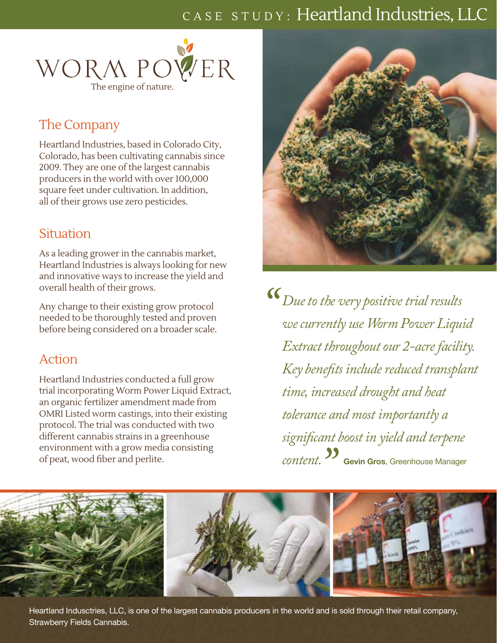# CASE STUDY: Heartland Industries, LLC



# The Company

Heartland Industries, based in Colorado City, Colorado, has been cultivating cannabis since 2009. They are one of the largest cannabis producers in the world with over 100,000 square feet under cultivation. In addition, all of their grows use zero pesticides.

## **Situation**

As a leading grower in the cannabis market, Heartland Industries is always looking for new and innovative ways to increase the yield and overall health of their grows.

Any change to their existing grow protocol needed to be thoroughly tested and proven before being considered on a broader scale.

# Action

Heartland Industries conducted a full grow trial incorporating Worm Power Liquid Extract, an organic fertilizer amendment made from OMRI Listed worm castings, into their existing protocol. The trial was conducted with two different cannabis strains in a greenhouse environment with a grow media consisting of peat, wood fiber and perlite.



 $D$ *ue to the very positive trial results*<br> *we currently use Worm Power Liqui we currently use Worm Power Liquid Extract throughout our 2-acre facility. Key benefits include reduced transplant time, increased drought and heat tolerance and most importantly a significant boost in yield and terpene*  **Content.**<br> **Content.**<br> **Content of Gross**, Greenhouse Manager<br> **Content of Gross** 



Heartland Indusctries, LLC, is one of the largest cannabis producers in the world and is sold through their retail company, Strawberry Fields Cannabis.